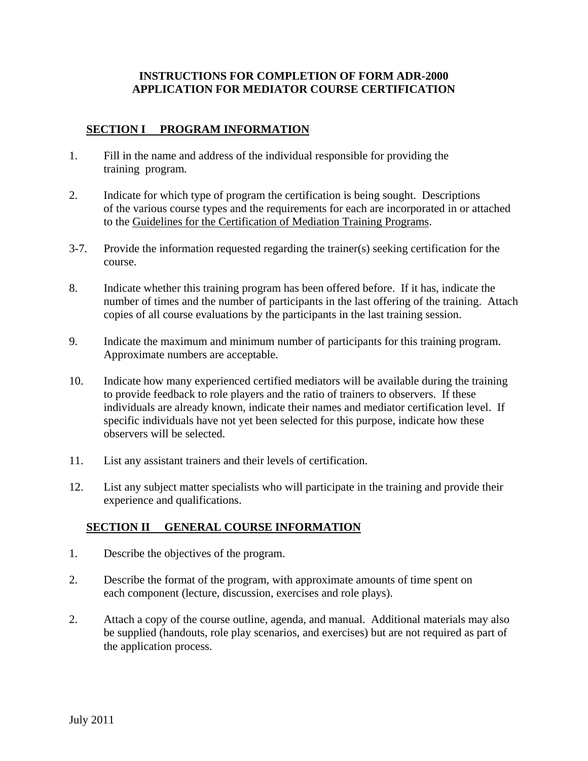#### **INSTRUCTIONS FOR COMPLETION OF FORM ADR-2000 APPLICATION FOR MEDIATOR COURSE CERTIFICATION**

### **SECTION I PROGRAM INFORMATION**

- 1. Fill in the name and address of the individual responsible for providing the training program*.*
- 2. Indicate for which type of program the certification is being sought. Descriptions of the various course types and the requirements for each are incorporated in or attached to the Guidelines for the Certification of Mediation Training Programs.
- 3-7. Provide the information requested regarding the trainer(s) seeking certification for the course.
- 8. Indicate whether this training program has been offered before. If it has, indicate the number of times and the number of participants in the last offering of the training. Attach copies of all course evaluations by the participants in the last training session.
- 9. Indicate the maximum and minimum number of participants for this training program. Approximate numbers are acceptable.
- 10. Indicate how many experienced certified mediators will be available during the training to provide feedback to role players and the ratio of trainers to observers. If these individuals are already known, indicate their names and mediator certification level. If specific individuals have not yet been selected for this purpose, indicate how these observers will be selected.
- 11. List any assistant trainers and their levels of certification.
- 12. List any subject matter specialists who will participate in the training and provide their experience and qualifications.

# **SECTION II GENERAL COURSE INFORMATION**

- 1. Describe the objectives of the program.
- 2. Describe the format of the program, with approximate amounts of time spent on each component (lecture, discussion, exercises and role plays).
- 2. Attach a copy of the course outline, agenda, and manual. Additional materials may also be supplied (handouts, role play scenarios, and exercises) but are not required as part of the application process.